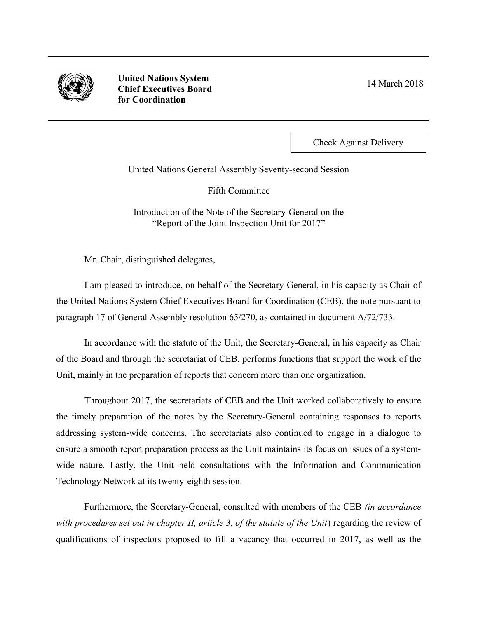

United Nations System Chief Executives Board for Coordination

14 March 2018

Check Against Delivery

United Nations General Assembly Seventy-second Session

Fifth Committee

Introduction of the Note of the Secretary-General on the "Report of the Joint Inspection Unit for 2017"

Mr. Chair, distinguished delegates,

I am pleased to introduce, on behalf of the Secretary-General, in his capacity as Chair of the United Nations System Chief Executives Board for Coordination (CEB), the note pursuant to paragraph 17 of General Assembly resolution 65/270, as contained in document A/72/733.

In accordance with the statute of the Unit, the Secretary-General, in his capacity as Chair of the Board and through the secretariat of CEB, performs functions that support the work of the Unit, mainly in the preparation of reports that concern more than one organization.

Throughout 2017, the secretariats of CEB and the Unit worked collaboratively to ensure the timely preparation of the notes by the Secretary-General containing responses to reports addressing system-wide concerns. The secretariats also continued to engage in a dialogue to ensure a smooth report preparation process as the Unit maintains its focus on issues of a systemwide nature. Lastly, the Unit held consultations with the Information and Communication Technology Network at its twenty-eighth session.

Furthermore, the Secretary-General, consulted with members of the CEB *(in accordance*) with procedures set out in chapter II, article 3, of the statute of the Unit) regarding the review of qualifications of inspectors proposed to fill a vacancy that occurred in 2017, as well as the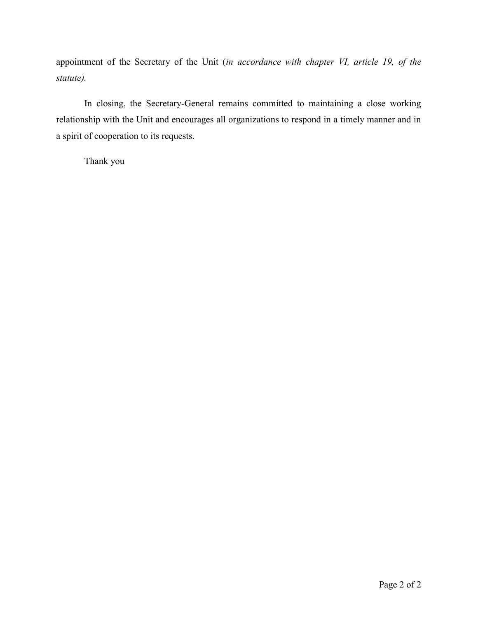appointment of the Secretary of the Unit (in accordance with chapter VI, article 19, of the statute).

In closing, the Secretary-General remains committed to maintaining a close working relationship with the Unit and encourages all organizations to respond in a timely manner and in a spirit of cooperation to its requests.

Thank you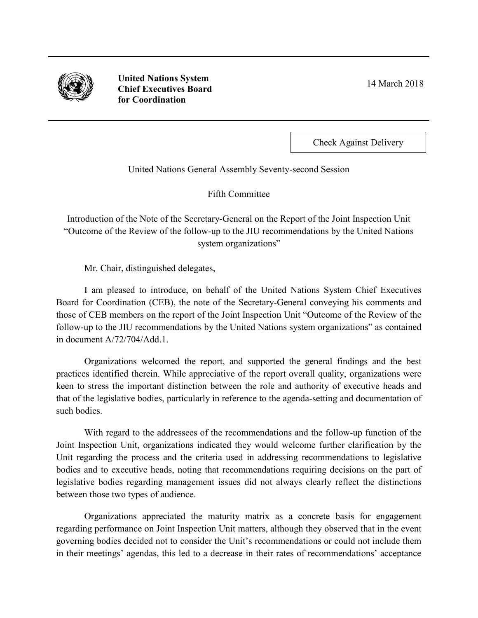

**United Nations System Chief Executives Board for Coordination** 

14 March 2018

Check Against Delivery

United Nations General Assembly Seventy-second Session

Fifth Committee

Introduction of the Note of the Secretary-General on the Report of the Joint Inspection Unit "Outcome of the Review of the follow-up to the JIU recommendations by the United Nations system organizations"

Mr. Chair, distinguished delegates,

I am pleased to introduce, on behalf of the United Nations System Chief Executives Board for Coordination (CEB), the note of the Secretary-General conveying his comments and those of CEB members on the report of the Joint Inspection Unit "Outcome of the Review of the follow-up to the JIU recommendations by the United Nations system organizations" as contained in document A/72/704/Add.1.

Organizations welcomed the report, and supported the general findings and the best practices identified therein. While appreciative of the report overall quality, organizations were keen to stress the important distinction between the role and authority of executive heads and that of the legislative bodies, particularly in reference to the agenda-setting and documentation of such bodies.

With regard to the addressees of the recommendations and the follow-up function of the Joint Inspection Unit, organizations indicated they would welcome further clarification by the Unit regarding the process and the criteria used in addressing recommendations to legislative bodies and to executive heads, noting that recommendations requiring decisions on the part of legislative bodies regarding management issues did not always clearly reflect the distinctions between those two types of audience.

Organizations appreciated the maturity matrix as a concrete basis for engagement regarding performance on Joint Inspection Unit matters, although they observed that in the event governing bodies decided not to consider the Unit's recommendations or could not include them in their meetings' agendas, this led to a decrease in their rates of recommendations' acceptance